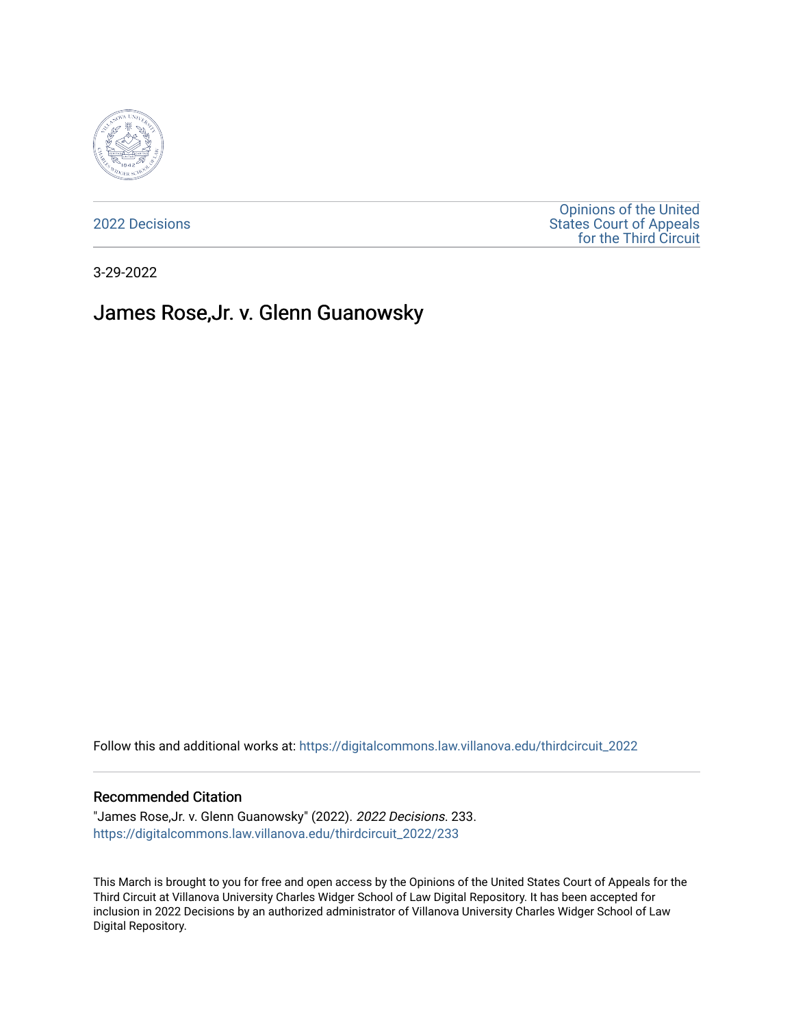

[2022 Decisions](https://digitalcommons.law.villanova.edu/thirdcircuit_2022)

[Opinions of the United](https://digitalcommons.law.villanova.edu/thirdcircuit)  [States Court of Appeals](https://digitalcommons.law.villanova.edu/thirdcircuit)  [for the Third Circuit](https://digitalcommons.law.villanova.edu/thirdcircuit) 

3-29-2022

# James Rose,Jr. v. Glenn Guanowsky

Follow this and additional works at: [https://digitalcommons.law.villanova.edu/thirdcircuit\\_2022](https://digitalcommons.law.villanova.edu/thirdcircuit_2022?utm_source=digitalcommons.law.villanova.edu%2Fthirdcircuit_2022%2F233&utm_medium=PDF&utm_campaign=PDFCoverPages) 

### Recommended Citation

"James Rose,Jr. v. Glenn Guanowsky" (2022). 2022 Decisions. 233. [https://digitalcommons.law.villanova.edu/thirdcircuit\\_2022/233](https://digitalcommons.law.villanova.edu/thirdcircuit_2022/233?utm_source=digitalcommons.law.villanova.edu%2Fthirdcircuit_2022%2F233&utm_medium=PDF&utm_campaign=PDFCoverPages)

This March is brought to you for free and open access by the Opinions of the United States Court of Appeals for the Third Circuit at Villanova University Charles Widger School of Law Digital Repository. It has been accepted for inclusion in 2022 Decisions by an authorized administrator of Villanova University Charles Widger School of Law Digital Repository.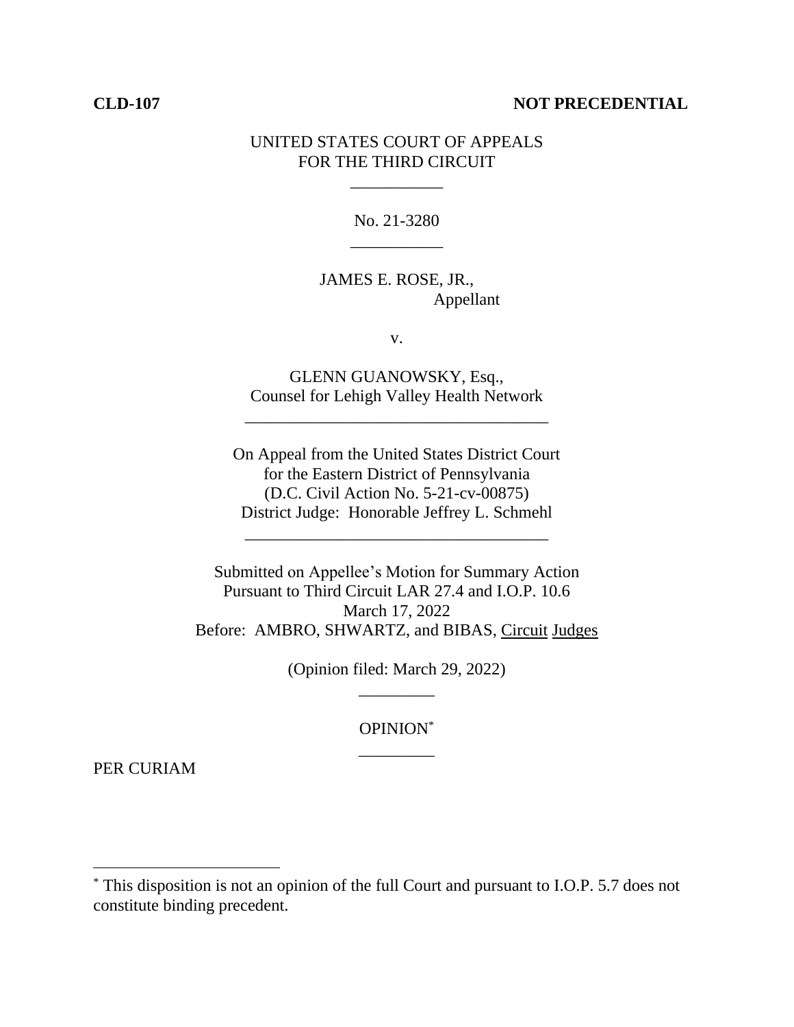## **CLD-107 NOT PRECEDENTIAL**

## UNITED STATES COURT OF APPEALS FOR THE THIRD CIRCUIT

\_\_\_\_\_\_\_\_\_\_\_

No. 21-3280 \_\_\_\_\_\_\_\_\_\_\_

JAMES E. ROSE, JR., Appellant

v.

GLENN GUANOWSKY, Esq., Counsel for Lehigh Valley Health Network

\_\_\_\_\_\_\_\_\_\_\_\_\_\_\_\_\_\_\_\_\_\_\_\_\_\_\_\_\_\_\_\_\_\_\_\_

On Appeal from the United States District Court for the Eastern District of Pennsylvania (D.C. Civil Action No. 5-21-cv-00875) District Judge: Honorable Jeffrey L. Schmehl

\_\_\_\_\_\_\_\_\_\_\_\_\_\_\_\_\_\_\_\_\_\_\_\_\_\_\_\_\_\_\_\_\_\_\_\_

Submitted on Appellee's Motion for Summary Action Pursuant to Third Circuit LAR 27.4 and I.O.P. 10.6 March 17, 2022 Before: AMBRO, SHWARTZ, and BIBAS, Circuit Judges

> (Opinion filed: March 29, 2022) \_\_\_\_\_\_\_\_\_

> > OPINION\* \_\_\_\_\_\_\_\_\_

PER CURIAM

<sup>\*</sup> This disposition is not an opinion of the full Court and pursuant to I.O.P. 5.7 does not constitute binding precedent.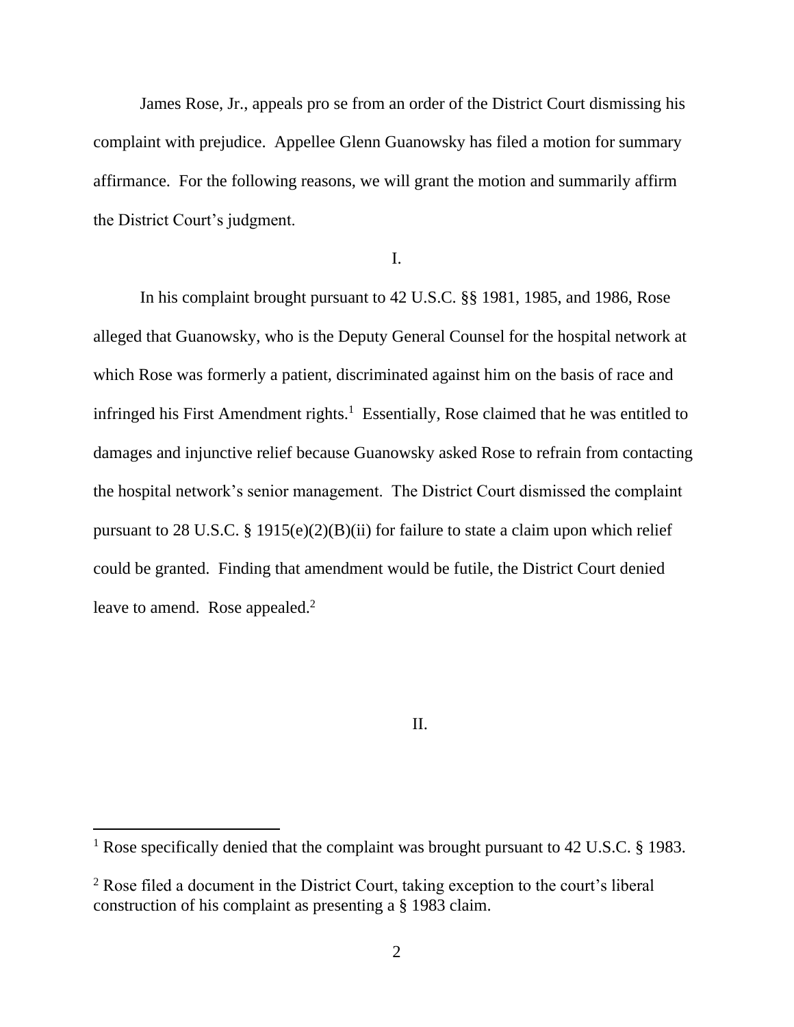James Rose, Jr., appeals pro se from an order of the District Court dismissing his complaint with prejudice. Appellee Glenn Guanowsky has filed a motion for summary affirmance. For the following reasons, we will grant the motion and summarily affirm the District Court's judgment.

I.

In his complaint brought pursuant to 42 U.S.C. §§ 1981, 1985, and 1986, Rose alleged that Guanowsky, who is the Deputy General Counsel for the hospital network at which Rose was formerly a patient, discriminated against him on the basis of race and infringed his First Amendment rights.<sup>1</sup> Essentially, Rose claimed that he was entitled to damages and injunctive relief because Guanowsky asked Rose to refrain from contacting the hospital network's senior management. The District Court dismissed the complaint pursuant to 28 U.S.C. § 1915(e)(2)(B)(ii) for failure to state a claim upon which relief could be granted. Finding that amendment would be futile, the District Court denied leave to amend. Rose appealed. $2$ 

II.

<sup>&</sup>lt;sup>1</sup> Rose specifically denied that the complaint was brought pursuant to 42 U.S.C. § 1983.

<sup>&</sup>lt;sup>2</sup> Rose filed a document in the District Court, taking exception to the court's liberal construction of his complaint as presenting a § 1983 claim.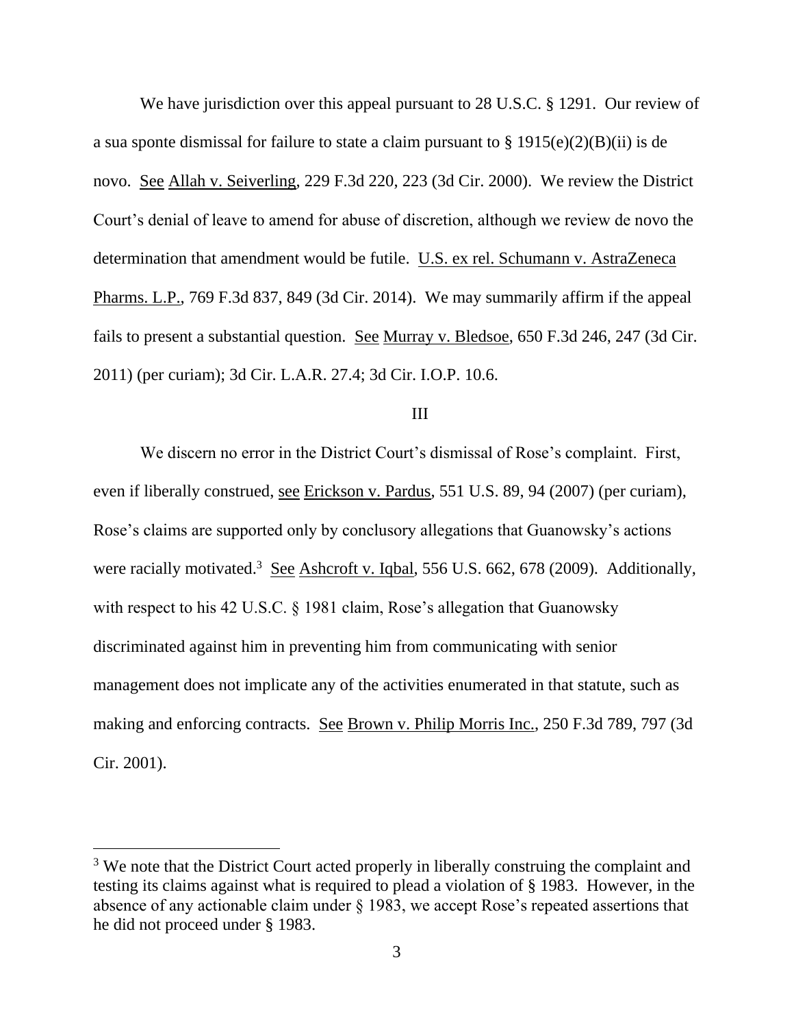We have jurisdiction over this appeal pursuant to 28 U.S.C. § 1291. Our review of a sua sponte dismissal for failure to state a claim pursuant to  $\S 1915(e)(2)(B)(ii)$  is de novo. See Allah v. Seiverling, 229 F.3d 220, 223 (3d Cir. 2000). We review the District Court's denial of leave to amend for abuse of discretion, although we review de novo the determination that amendment would be futile. U.S. ex rel. Schumann v. AstraZeneca Pharms. L.P., 769 F.3d 837, 849 (3d Cir. 2014). We may summarily affirm if the appeal fails to present a substantial question. See Murray v. Bledsoe, 650 F.3d 246, 247 (3d Cir. 2011) (per curiam); 3d Cir. L.A.R. 27.4; 3d Cir. I.O.P. 10.6.

### III

We discern no error in the District Court's dismissal of Rose's complaint. First, even if liberally construed, <u>see Erickson v. Pardus</u>, 551 U.S. 89, 94 (2007) (per curiam), Rose's claims are supported only by conclusory allegations that Guanowsky's actions were racially motivated.<sup>3</sup> See Ashcroft v. Iqbal, 556 U.S. 662, 678 (2009). Additionally, with respect to his 42 U.S.C. § 1981 claim, Rose's allegation that Guanowsky discriminated against him in preventing him from communicating with senior management does not implicate any of the activities enumerated in that statute, such as making and enforcing contracts. See Brown v. Philip Morris Inc., 250 F.3d 789, 797 (3d Cir. 2001).

<sup>&</sup>lt;sup>3</sup> We note that the District Court acted properly in liberally construing the complaint and testing its claims against what is required to plead a violation of § 1983. However, in the absence of any actionable claim under § 1983, we accept Rose's repeated assertions that he did not proceed under § 1983.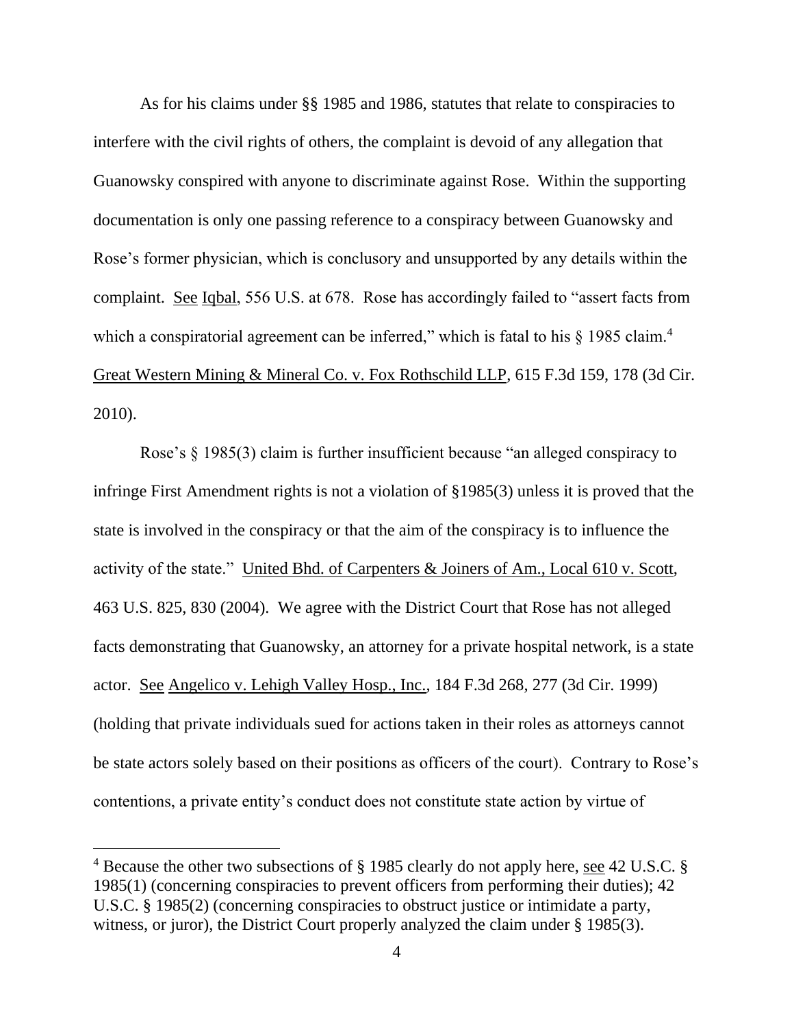As for his claims under §§ 1985 and 1986, statutes that relate to conspiracies to interfere with the civil rights of others, the complaint is devoid of any allegation that Guanowsky conspired with anyone to discriminate against Rose. Within the supporting documentation is only one passing reference to a conspiracy between Guanowsky and Rose's former physician, which is conclusory and unsupported by any details within the complaint. See Iqbal, 556 U.S. at 678. Rose has accordingly failed to "assert facts from which a conspiratorial agreement can be inferred," which is fatal to his  $\S 1985$  claim.<sup>4</sup> Great Western Mining & Mineral Co. v. Fox Rothschild LLP, 615 F.3d 159, 178 (3d Cir. 2010).

Rose's § 1985(3) claim is further insufficient because "an alleged conspiracy to infringe First Amendment rights is not a violation of §1985(3) unless it is proved that the state is involved in the conspiracy or that the aim of the conspiracy is to influence the activity of the state." United Bhd. of Carpenters & Joiners of Am., Local 610 v. Scott, 463 U.S. 825, 830 (2004). We agree with the District Court that Rose has not alleged facts demonstrating that Guanowsky, an attorney for a private hospital network, is a state actor. See Angelico v. Lehigh Valley Hosp., Inc., 184 F.3d 268, 277 (3d Cir. 1999) (holding that private individuals sued for actions taken in their roles as attorneys cannot be state actors solely based on their positions as officers of the court). Contrary to Rose's contentions, a private entity's conduct does not constitute state action by virtue of

<sup>&</sup>lt;sup>4</sup> Because the other two subsections of § 1985 clearly do not apply here, see 42 U.S.C. § 1985(1) (concerning conspiracies to prevent officers from performing their duties); 42 U.S.C. § 1985(2) (concerning conspiracies to obstruct justice or intimidate a party, witness, or juror), the District Court properly analyzed the claim under § 1985(3).